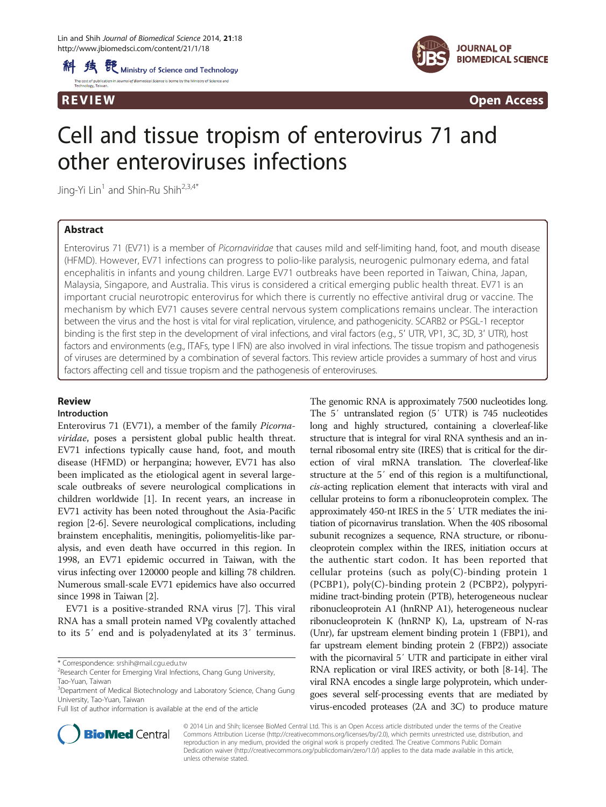



**REVIEW CONSIDERING CONSIDERING CONSIDERING CONSIDERING CONSIDERING CONSIDERING CONSIDERING CONSIDERING CONSIDERING CONSIDERING CONSIDERING CONSIDERING CONSIDERING CONSIDERING CONSIDERING CONSIDERING CONSIDERING CONSIDER** 

# Cell and tissue tropism of enterovirus 71 and other enteroviruses infections

Jing-Yi Lin<sup>1</sup> and Shin-Ru Shih<sup>2,3,4\*</sup>

# Abstract

Enterovirus 71 (EV71) is a member of Picornaviridae that causes mild and self-limiting hand, foot, and mouth disease (HFMD). However, EV71 infections can progress to polio-like paralysis, neurogenic pulmonary edema, and fatal encephalitis in infants and young children. Large EV71 outbreaks have been reported in Taiwan, China, Japan, Malaysia, Singapore, and Australia. This virus is considered a critical emerging public health threat. EV71 is an important crucial neurotropic enterovirus for which there is currently no effective antiviral drug or vaccine. The mechanism by which EV71 causes severe central nervous system complications remains unclear. The interaction between the virus and the host is vital for viral replication, virulence, and pathogenicity. SCARB2 or PSGL-1 receptor binding is the first step in the development of viral infections, and viral factors (e.g., 5′ UTR, VP1, 3C, 3D, 3′ UTR), host factors and environments (e.g., ITAFs, type I IFN) are also involved in viral infections. The tissue tropism and pathogenesis of viruses are determined by a combination of several factors. This review article provides a summary of host and virus factors affecting cell and tissue tropism and the pathogenesis of enteroviruses.

## Review

## Introduction

Enterovirus 71 (EV71), a member of the family Picornaviridae, poses a persistent global public health threat. EV71 infections typically cause hand, foot, and mouth disease (HFMD) or herpangina; however, EV71 has also been implicated as the etiological agent in several largescale outbreaks of severe neurological complications in children worldwide [\[1](#page-3-0)]. In recent years, an increase in EV71 activity has been noted throughout the Asia-Pacific region [\[2](#page-3-0)-[6\]](#page-3-0). Severe neurological complications, including brainstem encephalitis, meningitis, poliomyelitis-like paralysis, and even death have occurred in this region. In 1998, an EV71 epidemic occurred in Taiwan, with the virus infecting over 120000 people and killing 78 children. Numerous small-scale EV71 epidemics have also occurred since 1998 in Taiwan [\[2\]](#page-3-0).

EV71 is a positive-stranded RNA virus [\[7\]](#page-3-0). This viral RNA has a small protein named VPg covalently attached to its 5′ end and is polyadenylated at its 3′ terminus.

\* Correspondence: [srshih@mail.cgu.edu.tw](mailto:srshih@mail.cgu.edu.tw) <sup>2</sup>

The genomic RNA is approximately 7500 nucleotides long. The 5′ untranslated region (5′ UTR) is 745 nucleotides long and highly structured, containing a cloverleaf-like structure that is integral for viral RNA synthesis and an internal ribosomal entry site (IRES) that is critical for the direction of viral mRNA translation. The cloverleaf-like structure at the 5′ end of this region is a multifunctional, cis-acting replication element that interacts with viral and cellular proteins to form a ribonucleoprotein complex. The approximately 450-nt IRES in the 5′ UTR mediates the initiation of picornavirus translation. When the 40S ribosomal subunit recognizes a sequence, RNA structure, or ribonucleoprotein complex within the IRES, initiation occurs at the authentic start codon. It has been reported that cellular proteins (such as  $poly(C)$ -binding protein 1 (PCBP1), poly(C)-binding protein 2 (PCBP2), polypyrimidine tract-binding protein (PTB), heterogeneous nuclear ribonucleoprotein A1 (hnRNP A1), heterogeneous nuclear ribonucleoprotein K (hnRNP K), La, upstream of N-ras (Unr), far upstream element binding protein 1 (FBP1), and far upstream element binding protein 2 (FBP2)) associate with the picornaviral 5′ UTR and participate in either viral RNA replication or viral IRES activity, or both [\[8-](#page-3-0)[14](#page-4-0)]. The viral RNA encodes a single large polyprotein, which undergoes several self-processing events that are mediated by virus-encoded proteases (2A and 3C) to produce mature



© 2014 Lin and Shih; licensee BioMed Central Ltd. This is an Open Access article distributed under the terms of the Creative Commons Attribution License [\(http://creativecommons.org/licenses/by/2.0\)](http://creativecommons.org/licenses/by/2.0), which permits unrestricted use, distribution, and reproduction in any medium, provided the original work is properly credited. The Creative Commons Public Domain Dedication waiver [\(http://creativecommons.org/publicdomain/zero/1.0/](http://creativecommons.org/publicdomain/zero/1.0/)) applies to the data made available in this article, unless otherwise stated.

<sup>&</sup>lt;sup>2</sup>Research Center for Emerging Viral Infections, Chang Gung University, Tao-Yuan, Taiwan

<sup>&</sup>lt;sup>3</sup>Department of Medical Biotechnology and Laboratory Science, Chang Gung University, Tao-Yuan, Taiwan

Full list of author information is available at the end of the article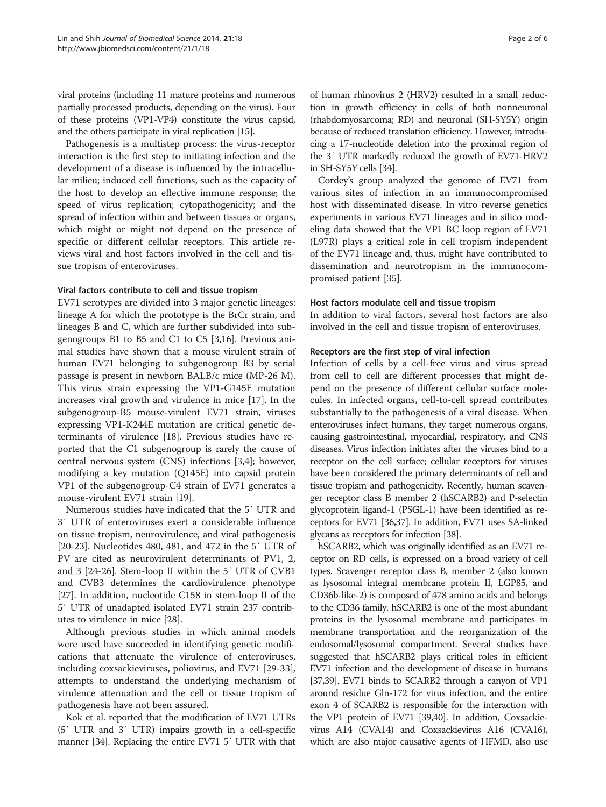viral proteins (including 11 mature proteins and numerous partially processed products, depending on the virus). Four of these proteins (VP1-VP4) constitute the virus capsid, and the others participate in viral replication [\[15](#page-4-0)].

Pathogenesis is a multistep process: the virus-receptor interaction is the first step to initiating infection and the development of a disease is influenced by the intracellular milieu; induced cell functions, such as the capacity of the host to develop an effective immune response; the speed of virus replication; cytopathogenicity; and the spread of infection within and between tissues or organs, which might or might not depend on the presence of specific or different cellular receptors. This article reviews viral and host factors involved in the cell and tissue tropism of enteroviruses.

## Viral factors contribute to cell and tissue tropism

EV71 serotypes are divided into 3 major genetic lineages: lineage A for which the prototype is the BrCr strain, and lineages B and C, which are further subdivided into subgenogroups B1 to B5 and C1 to C5 [[3,](#page-3-0)[16\]](#page-4-0). Previous animal studies have shown that a mouse virulent strain of human EV71 belonging to subgenogroup B3 by serial passage is present in newborn BALB/c mice (MP-26 M). This virus strain expressing the VP1-G145E mutation increases viral growth and virulence in mice [[17\]](#page-4-0). In the subgenogroup-B5 mouse-virulent EV71 strain, viruses expressing VP1-K244E mutation are critical genetic determinants of virulence [[18](#page-4-0)]. Previous studies have reported that the C1 subgenogroup is rarely the cause of central nervous system (CNS) infections [\[3,4](#page-3-0)]; however, modifying a key mutation (Q145E) into capsid protein VP1 of the subgenogroup-C4 strain of EV71 generates a mouse-virulent EV71 strain [[19\]](#page-4-0).

Numerous studies have indicated that the 5′ UTR and 3′ UTR of enteroviruses exert a considerable influence on tissue tropism, neurovirulence, and viral pathogenesis [[20-23](#page-4-0)]. Nucleotides 480, 481, and 472 in the 5′ UTR of PV are cited as neurovirulent determinants of PV1, 2, and 3 [[24](#page-4-0)-[26\]](#page-4-0). Stem-loop II within the 5′ UTR of CVB1 and CVB3 determines the cardiovirulence phenotype [[27\]](#page-4-0). In addition, nucleotide C158 in stem-loop II of the 5′ UTR of unadapted isolated EV71 strain 237 contributes to virulence in mice [\[28](#page-4-0)].

Although previous studies in which animal models were used have succeeded in identifying genetic modifications that attenuate the virulence of enteroviruses, including coxsackieviruses, poliovirus, and EV71 [\[29-33](#page-4-0)], attempts to understand the underlying mechanism of virulence attenuation and the cell or tissue tropism of pathogenesis have not been assured.

Kok et al. reported that the modification of EV71 UTRs (5′ UTR and 3′ UTR) impairs growth in a cell-specific manner [[34\]](#page-4-0). Replacing the entire EV71 5′ UTR with that

of human rhinovirus 2 (HRV2) resulted in a small reduction in growth efficiency in cells of both nonneuronal (rhabdomyosarcoma; RD) and neuronal (SH-SY5Y) origin because of reduced translation efficiency. However, introducing a 17-nucleotide deletion into the proximal region of the 3′ UTR markedly reduced the growth of EV71-HRV2 in SH-SY5Y cells [[34](#page-4-0)].

Cordey's group analyzed the genome of EV71 from various sites of infection in an immunocompromised host with disseminated disease. In vitro reverse genetics experiments in various EV71 lineages and in silico modeling data showed that the VP1 BC loop region of EV71 (L97R) plays a critical role in cell tropism independent of the EV71 lineage and, thus, might have contributed to dissemination and neurotropism in the immunocompromised patient [\[35](#page-4-0)].

## Host factors modulate cell and tissue tropism

In addition to viral factors, several host factors are also involved in the cell and tissue tropism of enteroviruses.

# Receptors are the first step of viral infection

Infection of cells by a cell-free virus and virus spread from cell to cell are different processes that might depend on the presence of different cellular surface molecules. In infected organs, cell-to-cell spread contributes substantially to the pathogenesis of a viral disease. When enteroviruses infect humans, they target numerous organs, causing gastrointestinal, myocardial, respiratory, and CNS diseases. Virus infection initiates after the viruses bind to a receptor on the cell surface; cellular receptors for viruses have been considered the primary determinants of cell and tissue tropism and pathogenicity. Recently, human scavenger receptor class B member 2 (hSCARB2) and P-selectin glycoprotein ligand-1 (PSGL-1) have been identified as receptors for EV71 [\[36,37\]](#page-4-0). In addition, EV71 uses SA-linked glycans as receptors for infection [[38](#page-4-0)].

hSCARB2, which was originally identified as an EV71 receptor on RD cells, is expressed on a broad variety of cell types. Scavenger receptor class B, member 2 (also known as lysosomal integral membrane protein II, LGP85, and CD36b-like-2) is composed of 478 amino acids and belongs to the CD36 family. hSCARB2 is one of the most abundant proteins in the lysosomal membrane and participates in membrane transportation and the reorganization of the endosomal/lysosomal compartment. Several studies have suggested that hSCARB2 plays critical roles in efficient EV71 infection and the development of disease in humans [[37,39\]](#page-4-0). EV71 binds to SCARB2 through a canyon of VP1 around residue Gln-172 for virus infection, and the entire exon 4 of SCARB2 is responsible for the interaction with the VP1 protein of EV71 [[39,40](#page-4-0)]. In addition, Coxsackievirus A14 (CVA14) and Coxsackievirus A16 (CVA16), which are also major causative agents of HFMD, also use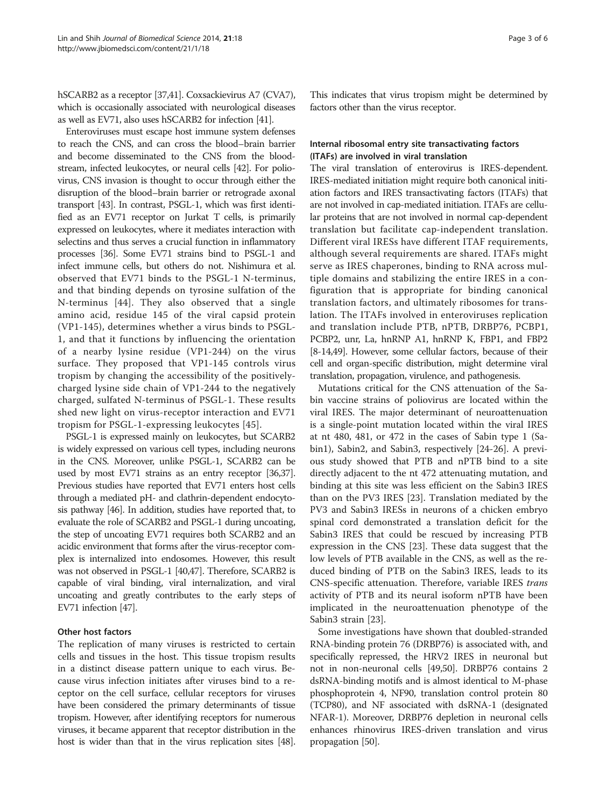hSCARB2 as a receptor [[37,41\]](#page-4-0). Coxsackievirus A7 (CVA7), which is occasionally associated with neurological diseases as well as EV71, also uses hSCARB2 for infection [[41](#page-4-0)].

Enteroviruses must escape host immune system defenses to reach the CNS, and can cross the blood–brain barrier and become disseminated to the CNS from the bloodstream, infected leukocytes, or neural cells [[42](#page-4-0)]. For poliovirus, CNS invasion is thought to occur through either the disruption of the blood–brain barrier or retrograde axonal transport [\[43](#page-4-0)]. In contrast, PSGL-1, which was first identified as an EV71 receptor on Jurkat T cells, is primarily expressed on leukocytes, where it mediates interaction with selectins and thus serves a crucial function in inflammatory processes [[36\]](#page-4-0). Some EV71 strains bind to PSGL-1 and infect immune cells, but others do not. Nishimura et al. observed that EV71 binds to the PSGL-1 N-terminus, and that binding depends on tyrosine sulfation of the N-terminus [[44\]](#page-4-0). They also observed that a single amino acid, residue 145 of the viral capsid protein (VP1-145), determines whether a virus binds to PSGL-1, and that it functions by influencing the orientation of a nearby lysine residue (VP1-244) on the virus surface. They proposed that VP1-145 controls virus tropism by changing the accessibility of the positivelycharged lysine side chain of VP1-244 to the negatively charged, sulfated N-terminus of PSGL-1. These results shed new light on virus-receptor interaction and EV71 tropism for PSGL-1-expressing leukocytes [[45\]](#page-4-0).

PSGL-1 is expressed mainly on leukocytes, but SCARB2 is widely expressed on various cell types, including neurons in the CNS. Moreover, unlike PSGL-1, SCARB2 can be used by most EV71 strains as an entry receptor [[36,37](#page-4-0)]. Previous studies have reported that EV71 enters host cells through a mediated pH- and clathrin-dependent endocytosis pathway [\[46](#page-4-0)]. In addition, studies have reported that, to evaluate the role of SCARB2 and PSGL-1 during uncoating, the step of uncoating EV71 requires both SCARB2 and an acidic environment that forms after the virus-receptor complex is internalized into endosomes. However, this result was not observed in PSGL-1 [\[40,47\]](#page-4-0). Therefore, SCARB2 is capable of viral binding, viral internalization, and viral uncoating and greatly contributes to the early steps of EV71 infection [[47](#page-4-0)].

# Other host factors

The replication of many viruses is restricted to certain cells and tissues in the host. This tissue tropism results in a distinct disease pattern unique to each virus. Because virus infection initiates after viruses bind to a receptor on the cell surface, cellular receptors for viruses have been considered the primary determinants of tissue tropism. However, after identifying receptors for numerous viruses, it became apparent that receptor distribution in the host is wider than that in the virus replication sites [\[48](#page-4-0)]. This indicates that virus tropism might be determined by factors other than the virus receptor.

# Internal ribosomal entry site transactivating factors (ITAFs) are involved in viral translation

The viral translation of enterovirus is IRES-dependent. IRES-mediated initiation might require both canonical initiation factors and IRES transactivating factors (ITAFs) that are not involved in cap-mediated initiation. ITAFs are cellular proteins that are not involved in normal cap-dependent translation but facilitate cap-independent translation. Different viral IRESs have different ITAF requirements, although several requirements are shared. ITAFs might serve as IRES chaperones, binding to RNA across multiple domains and stabilizing the entire IRES in a configuration that is appropriate for binding canonical translation factors, and ultimately ribosomes for translation. The ITAFs involved in enteroviruses replication and translation include PTB, nPTB, DRBP76, PCBP1, PCBP2, unr, La, hnRNP A1, hnRNP K, FBP1, and FBP2 [[8](#page-3-0)-[14,49\]](#page-4-0). However, some cellular factors, because of their cell and organ-specific distribution, might determine viral translation, propagation, virulence, and pathogenesis.

Mutations critical for the CNS attenuation of the Sabin vaccine strains of poliovirus are located within the viral IRES. The major determinant of neuroattenuation is a single-point mutation located within the viral IRES at nt 480, 481, or 472 in the cases of Sabin type 1 (Sabin1), Sabin2, and Sabin3, respectively [[24](#page-4-0)-[26\]](#page-4-0). A previous study showed that PTB and nPTB bind to a site directly adjacent to the nt 472 attenuating mutation, and binding at this site was less efficient on the Sabin3 IRES than on the PV3 IRES [\[23](#page-4-0)]. Translation mediated by the PV3 and Sabin3 IRESs in neurons of a chicken embryo spinal cord demonstrated a translation deficit for the Sabin3 IRES that could be rescued by increasing PTB expression in the CNS [\[23](#page-4-0)]. These data suggest that the low levels of PTB available in the CNS, as well as the reduced binding of PTB on the Sabin3 IRES, leads to its CNS-specific attenuation. Therefore, variable IRES trans activity of PTB and its neural isoform nPTB have been implicated in the neuroattenuation phenotype of the Sabin3 strain [\[23\]](#page-4-0).

Some investigations have shown that doubled-stranded RNA-binding protein 76 (DRBP76) is associated with, and specifically repressed, the HRV2 IRES in neuronal but not in non-neuronal cells [\[49,50\]](#page-4-0). DRBP76 contains 2 dsRNA-binding motifs and is almost identical to M-phase phosphoprotein 4, NF90, translation control protein 80 (TCP80), and NF associated with dsRNA-1 (designated NFAR-1). Moreover, DRBP76 depletion in neuronal cells enhances rhinovirus IRES-driven translation and virus propagation [\[50](#page-4-0)].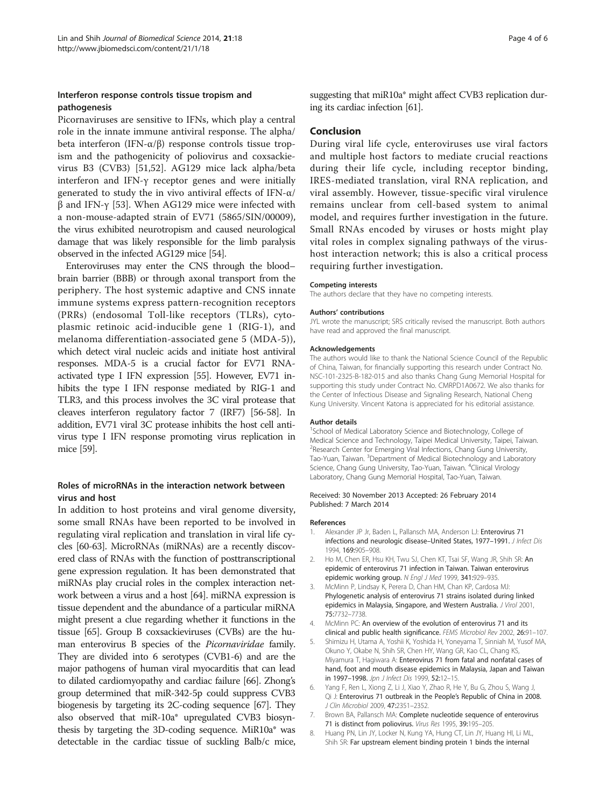# <span id="page-3-0"></span>Interferon response controls tissue tropism and pathogenesis

Picornaviruses are sensitive to IFNs, which play a central role in the innate immune antiviral response. The alpha/ beta interferon (IFN-α/β) response controls tissue tropism and the pathogenicity of poliovirus and coxsackievirus B3 (CVB3) [\[51,52\]](#page-4-0). AG129 mice lack alpha/beta interferon and IFN-γ receptor genes and were initially generated to study the in vivo antiviral effects of IFN-α/ β and IFN-γ [[53](#page-4-0)]. When AG129 mice were infected with a non-mouse-adapted strain of EV71 (5865/SIN/00009), the virus exhibited neurotropism and caused neurological damage that was likely responsible for the limb paralysis observed in the infected AG129 mice [\[54\]](#page-5-0).

Enteroviruses may enter the CNS through the blood– brain barrier (BBB) or through axonal transport from the periphery. The host systemic adaptive and CNS innate immune systems express pattern-recognition receptors (PRRs) (endosomal Toll-like receptors (TLRs), cytoplasmic retinoic acid-inducible gene 1 (RIG-1), and melanoma differentiation-associated gene 5 (MDA-5)), which detect viral nucleic acids and initiate host antiviral responses. MDA-5 is a crucial factor for EV71 RNAactivated type I IFN expression [\[55\]](#page-5-0). However, EV71 inhibits the type I IFN response mediated by RIG-1 and TLR3, and this process involves the 3C viral protease that cleaves interferon regulatory factor 7 (IRF7) [\[56-58\]](#page-5-0). In addition, EV71 viral 3C protease inhibits the host cell antivirus type I IFN response promoting virus replication in mice [\[59\]](#page-5-0).

# Roles of microRNAs in the interaction network between virus and host

In addition to host proteins and viral genome diversity, some small RNAs have been reported to be involved in regulating viral replication and translation in viral life cycles [\[60](#page-5-0)-[63](#page-5-0)]. MicroRNAs (miRNAs) are a recently discovered class of RNAs with the function of posttranscriptional gene expression regulation. It has been demonstrated that miRNAs play crucial roles in the complex interaction network between a virus and a host [\[64](#page-5-0)]. miRNA expression is tissue dependent and the abundance of a particular miRNA might present a clue regarding whether it functions in the tissue [[65](#page-5-0)]. Group B coxsackieviruses (CVBs) are the human enterovirus B species of the *Picornaviridae* family. They are divided into 6 serotypes (CVB1-6) and are the major pathogens of human viral myocarditis that can lead to dilated cardiomyopathy and cardiac failure [\[66](#page-5-0)]. Zhong's group determined that miR-342-5p could suppress CVB3 biogenesis by targeting its 2C-coding sequence [\[67\]](#page-5-0). They also observed that miR-10a\* upregulated CVB3 biosynthesis by targeting the 3D-coding sequence. MiR10a\* was detectable in the cardiac tissue of suckling Balb/c mice,

suggesting that miR10a\* might affect CVB3 replication during its cardiac infection [\[61\]](#page-5-0).

## Conclusion

During viral life cycle, enteroviruses use viral factors and multiple host factors to mediate crucial reactions during their life cycle, including receptor binding, IRES-mediated translation, viral RNA replication, and viral assembly. However, tissue-specific viral virulence remains unclear from cell-based system to animal model, and requires further investigation in the future. Small RNAs encoded by viruses or hosts might play vital roles in complex signaling pathways of the virushost interaction network; this is also a critical process requiring further investigation.

## Competing interests

The authors declare that they have no competing interests.

## Authors' contributions

JYL wrote the manuscript; SRS critically revised the manuscript. Both authors have read and approved the final manuscript.

### Acknowledgements

The authors would like to thank the National Science Council of the Republic of China, Taiwan, for financially supporting this research under Contract No. NSC-101-2325-B-182-015 and also thanks Chang Gung Memorial Hospital for supporting this study under Contract No. CMRPD1A0672. We also thanks for the Center of Infectious Disease and Signaling Research, National Cheng Kung University. Vincent Katona is appreciated for his editorial assistance.

#### Author details

<sup>1</sup>School of Medical Laboratory Science and Biotechnology, College of Medical Science and Technology, Taipei Medical University, Taipei, Taiwan. <sup>2</sup>Research Center for Emerging Viral Infections, Chang Gung University Tao-Yuan, Taiwan. <sup>3</sup>Department of Medical Biotechnology and Laboratory Science, Chang Gung University, Tao-Yuan, Taiwan. <sup>4</sup>Clinical Virology Laboratory, Chang Gung Memorial Hospital, Tao-Yuan, Taiwan.

#### Received: 30 November 2013 Accepted: 26 February 2014 Published: 7 March 2014

#### References

- 1. Alexander JP Jr, Baden L, Pallansch MA, Anderson LJ: Enterovirus 71 infections and neurologic disease–United States, 1977–1991. J Infect Dis 1994, 169:905–908.
- 2. Ho M, Chen ER, Hsu KH, Twu SJ, Chen KT, Tsai SF, Wang JR, Shih SR: An epidemic of enterovirus 71 infection in Taiwan. Taiwan enterovirus epidemic working group. N Engl J Med 1999, 341:929–935.
- 3. McMinn P, Lindsay K, Perera D, Chan HM, Chan KP, Cardosa MJ: Phylogenetic analysis of enterovirus 71 strains isolated during linked epidemics in Malaysia, Singapore, and Western Australia. J Virol 2001, 75:7732–7738.
- 4. McMinn PC: An overview of the evolution of enterovirus 71 and its clinical and public health significance. FEMS Microbiol Rev 2002, 26:91–107.
- 5. Shimizu H, Utama A, Yoshii K, Yoshida H, Yoneyama T, Sinniah M, Yusof MA, Okuno Y, Okabe N, Shih SR, Chen HY, Wang GR, Kao CL, Chang KS, Miyamura T, Hagiwara A: Enterovirus 71 from fatal and nonfatal cases of hand, foot and mouth disease epidemics in Malaysia, Japan and Taiwan in 1997–1998. Jpn J Infect Dis 1999, 52:12–15.
- 6. Yang F, Ren L, Xiong Z, Li J, Xiao Y, Zhao R, He Y, Bu G, Zhou S, Wang J, Qi J: Enterovirus 71 outbreak in the People's Republic of China in 2008. J Clin Microbiol 2009, 47:2351–2352.
- 7. Brown BA, Pallansch MA: Complete nucleotide sequence of enterovirus 71 is distinct from poliovirus. Virus Res 1995, 39:195–205.
- 8. Huang PN, Lin JY, Locker N, Kung YA, Hung CT, Lin JY, Huang HI, Li ML, Shih SR: Far upstream element binding protein 1 binds the internal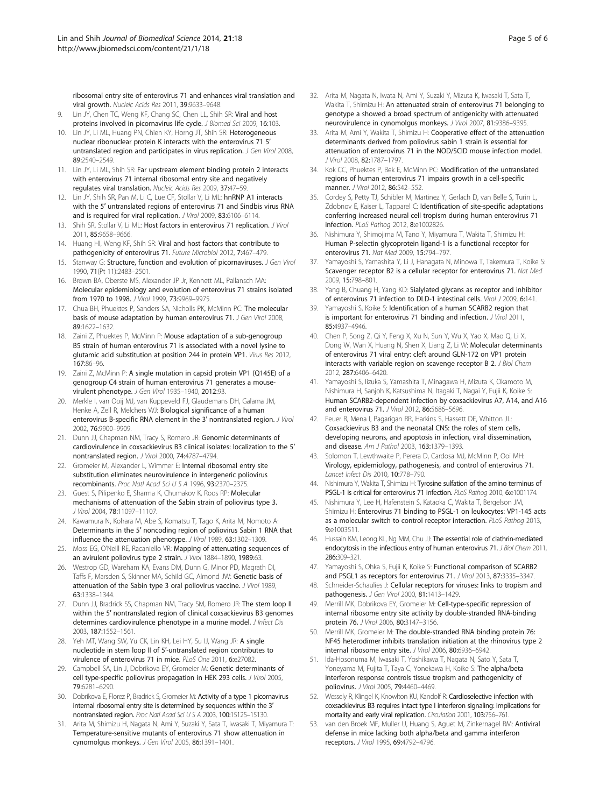<span id="page-4-0"></span>ribosomal entry site of enterovirus 71 and enhances viral translation and viral growth. Nucleic Acids Res 2011, 39:9633–9648.

- 9. Lin JY, Chen TC, Weng KF, Chang SC, Chen LL, Shih SR: Viral and host proteins involved in picornavirus life cycle. J Biomed Sci 2009, 16:103.
- 10. Lin JY, Li ML, Huang PN, Chien KY, Horng JT, Shih SR: Heterogeneous nuclear ribonuclear protein K interacts with the enterovirus 71 5′ untranslated region and participates in virus replication. *J Gen Virol* 2008, 89:2540–2549.
- 11. Lin JY, Li ML, Shih SR: Far upstream element binding protein 2 interacts with enterovirus 71 internal ribosomal entry site and negatively regulates viral translation. Nucleic Acids Res 2009, 37:47–59.
- 12. Lin JY, Shih SR, Pan M, Li C, Lue CF, Stollar V, Li ML: hnRNP A1 interacts with the 5′ untranslated regions of enterovirus 71 and Sindbis virus RNA and is required for viral replication. J Virol 2009, 83:6106-6114.
- 13. Shih SR, Stollar V, Li ML: Host factors in enterovirus 71 replication. J Virol 2011, 85:9658–9666.
- 14. Huang HI, Weng KF, Shih SR: Viral and host factors that contribute to pathogenicity of enterovirus 71. Future Microbiol 2012, 7:467–479.
- 15. Stanway G: Structure, function and evolution of picornaviruses. J Gen Virol 1990, 71(Pt 11):2483–2501.
- 16. Brown BA, Oberste MS, Alexander JP Jr, Kennett ML, Pallansch MA: Molecular epidemiology and evolution of enterovirus 71 strains isolated from 1970 to 1998. J Virol 1999, 73:9969–9975.
- 17. Chua BH, Phuektes P, Sanders SA, Nicholls PK, McMinn PC: The molecular basis of mouse adaptation by human enterovirus 71. J Gen Virol 2008, 89:1622–1632.
- 18. Zaini Z, Phuektes P, McMinn P: Mouse adaptation of a sub-genogroup B5 strain of human enterovirus 71 is associated with a novel lysine to glutamic acid substitution at position 244 in protein VP1. Virus Res 2012, 167:86–96.
- 19. Zaini Z, McMinn P: A single mutation in capsid protein VP1 (Q145E) of a genogroup C4 strain of human enterovirus 71 generates a mousevirulent phenotype. J Gen Virol 1935-1940, 2012:93.
- 20. Merkle I, van Ooij MJ, van Kuppeveld FJ, Glaudemans DH, Galama JM, Henke A, Zell R, Melchers WJ: Biological significance of a human enterovirus B-specific RNA element in the 3' nontranslated region. J Virol 2002, 76:9900–9909.
- 21. Dunn JJ, Chapman NM, Tracy S, Romero JR: Genomic determinants of cardiovirulence in coxsackievirus B3 clinical isolates: localization to the 5′ nontranslated region. J Virol 2000, 74:4787–4794.
- 22. Gromeier M, Alexander L, Wimmer E: Internal ribosomal entry site substitution eliminates neurovirulence in intergeneric poliovirus recombinants. Proc Natl Acad Sci U S A 1996, 93:2370–2375.
- 23. Guest S, Pilipenko E, Sharma K, Chumakov K, Roos RP: Molecular mechanisms of attenuation of the Sabin strain of poliovirus type 3. J Virol 2004, 78:11097–11107.
- 24. Kawamura N, Kohara M, Abe S, Komatsu T, Tago K, Arita M, Nomoto A: Determinants in the 5′ noncoding region of poliovirus Sabin 1 RNA that influence the attenuation phenotype. J Virol 1989, 63:1302–1309.
- 25. Moss EG, O'Neill RE, Racaniello VR: Mapping of attenuating sequences of an avirulent poliovirus type 2 strain. J Virol 1884-1890, 1989:63.
- 26. Westrop GD, Wareham KA, Evans DM, Dunn G, Minor PD, Magrath DI, Taffs F, Marsden S, Skinner MA, Schild GC, Almond JW: Genetic basis of attenuation of the Sabin type 3 oral poliovirus vaccine. J Virol 1989, 63:1338–1344.
- 27. Dunn JJ, Bradrick SS, Chapman NM, Tracy SM, Romero JR: The stem loop II within the 5′ nontranslated region of clinical coxsackievirus B3 genomes determines cardiovirulence phenotype in a murine model. J Infect Dis 2003, 187:1552–1561.
- 28. Yeh MT, Wang SW, Yu CK, Lin KH, Lei HY, Su IJ, Wang JR: A single nucleotide in stem loop II of 5′-untranslated region contributes to virulence of enterovirus 71 in mice. PLoS One 2011, 6:e27082.
- 29. Campbell SA, Lin J, Dobrikova EY, Gromeier M: Genetic determinants of cell type-specific poliovirus propagation in HEK 293 cells. J Virol 2005, 79:6281–6290.
- 30. Dobrikova E, Florez P, Bradrick S, Gromeier M: Activity of a type 1 picornavirus internal ribosomal entry site is determined by sequences within the 3′ nontranslated region. Proc Natl Acad Sci U S A 2003, 100:15125-15130.
- 31. Arita M, Shimizu H, Nagata N, Ami Y, Suzaki Y, Sata T, Iwasaki T, Miyamura T: Temperature-sensitive mutants of enterovirus 71 show attenuation in cynomolgus monkeys. J Gen Virol 2005, 86:1391–1401.
- 32. Arita M, Nagata N, Iwata N, Ami Y, Suzaki Y, Mizuta K, Iwasaki T, Sata T, Wakita T, Shimizu H: An attenuated strain of enterovirus 71 belonging to genotype a showed a broad spectrum of antigenicity with attenuated neurovirulence in cynomolgus monkeys. J Virol 2007, 81:9386–9395.
- 33. Arita M, Ami Y, Wakita T, Shimizu H: Cooperative effect of the attenuation determinants derived from poliovirus sabin 1 strain is essential for attenuation of enterovirus 71 in the NOD/SCID mouse infection model. J Virol 2008, 82:1787–1797.
- 34. Kok CC, Phuektes P, Bek E, McMinn PC: Modification of the untranslated regions of human enterovirus 71 impairs growth in a cell-specific manner. J Virol 2012, 86:542–552.
- 35. Cordey S, Petty TJ, Schibler M, Martinez Y, Gerlach D, van Belle S, Turin L, Zdobnov E, Kaiser L, Tapparel C: Identification of site-specific adaptations conferring increased neural cell tropism during human enterovirus 71 infection. PLoS Pathog 2012, 8:e1002826.
- 36. Nishimura Y, Shimojima M, Tano Y, Miyamura T, Wakita T, Shimizu H: Human P-selectin glycoprotein ligand-1 is a functional receptor for enterovirus 71. Nat Med 2009, 15:794–797.
- 37. Yamayoshi S, Yamashita Y, Li J, Hanagata N, Minowa T, Takemura T, Koike S: Scavenger receptor B2 is a cellular receptor for enterovirus 71. Nat Med 2009, 15:798–801.
- 38. Yang B, Chuang H, Yang KD: Sialylated glycans as receptor and inhibitor of enterovirus 71 infection to DLD-1 intestinal cells. Virol J 2009, 6:141.
- 39. Yamayoshi S, Koike S: Identification of a human SCARB2 region that is important for enterovirus 71 binding and infection. J Virol 2011, 85:4937–4946.
- 40. Chen P, Song Z, Qi Y, Feng X, Xu N, Sun Y, Wu X, Yao X, Mao Q, Li X, Dong W, Wan X, Huang N, Shen X, Liang Z, Li W: Molecular determinants of enterovirus 71 viral entry: cleft around GLN-172 on VP1 protein interacts with variable region on scavenge receptor B 2. J Biol Chem 2012, 287:6406–6420.
- 41. Yamayoshi S, Iizuka S, Yamashita T, Minagawa H, Mizuta K, Okamoto M, Nishimura H, Sanjoh K, Katsushima N, Itagaki T, Nagai Y, Fujii K, Koike S: Human SCARB2-dependent infection by coxsackievirus A7, A14, and A16 and enterovirus 71. J Virol 2012, 86:5686–5696.
- 42. Feuer R, Mena I, Pagarigan RR, Harkins S, Hassett DE, Whitton JL: Coxsackievirus B3 and the neonatal CNS: the roles of stem cells, developing neurons, and apoptosis in infection, viral dissemination, and disease. Am J Pathol 2003, 163:1379–1393.
- 43. Solomon T, Lewthwaite P, Perera D, Cardosa MJ, McMinn P, Ooi MH: Virology, epidemiology, pathogenesis, and control of enterovirus 71. Lancet Infect Dis 2010, 10:778–790.
- Nishimura Y, Wakita T, Shimizu H: Tyrosine sulfation of the amino terminus of PSGL-1 is critical for enterovirus 71 infection. PLoS Pathog 2010, 6:e1001174.
- 45. Nishimura Y, Lee H, Hafenstein S, Kataoka C, Wakita T, Bergelson JM, Shimizu H: Enterovirus 71 binding to PSGL-1 on leukocytes: VP1-145 acts as a molecular switch to control receptor interaction. PLoS Pathog 2013, 9:e1003511.
- 46. Hussain KM, Leong KL, Ng MM, Chu JJ: The essential role of clathrin-mediated endocytosis in the infectious entry of human enterovirus 71. J Biol Chem 2011, 286:309–321.
- 47. Yamayoshi S, Ohka S, Fujii K, Koike S: Functional comparison of SCARB2 and PSGL1 as receptors for enterovirus 71. J Virol 2013, 87:3335–3347.
- 48. Schneider-Schaulies J: Cellular receptors for viruses: links to tropism and pathogenesis. J Gen Virol 2000, 81:1413–1429.
- 49. Merrill MK, Dobrikova EY, Gromeier M: Cell-type-specific repression of internal ribosome entry site activity by double-stranded RNA-binding protein 76. J Virol 2006, 80:3147–3156.
- 50. Merrill MK, Gromeier M: The double-stranded RNA binding protein 76: NF45 heterodimer inhibits translation initiation at the rhinovirus type 2 internal ribosome entry site. J Virol 2006, 80:6936–6942.
- 51. Ida-Hosonuma M, Iwasaki T, Yoshikawa T, Nagata N, Sato Y, Sata T, Yoneyama M, Fujita T, Taya C, Yonekawa H, Koike S: The alpha/beta interferon response controls tissue tropism and pathogenicity of poliovirus. J Virol 2005, 79:4460–4469.
- 52. Wessely R, Klingel K, Knowlton KU, Kandolf R: Cardioselective infection with coxsackievirus B3 requires intact type I interferon signaling: implications for mortality and early viral replication. Circulation 2001, 103:756–761.
- 53. van den Broek MF, Muller U, Huang S, Aguet M, Zinkernagel RM: Antiviral defense in mice lacking both alpha/beta and gamma interferon receptors. J Virol 1995, 69:4792–4796.